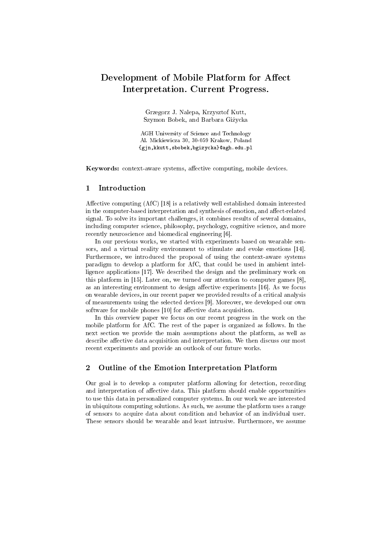# Development of Mobile Platform for Affect Interpretation. Current Progress.

Grzegorz J. Nalepa, Krzysztof Kutt, Szymon Bobek, and Barbara Giżycka

AGH University of Science and Technology Al. Mickiewicza 30, 30-059 Krakow, Poland {gjn,kkutt,sbobek,bgizycka}@agh.edu.pl

Keywords: context-aware systems, affective computing, mobile devices.

## 1 Introduction

Affective computing (AfC) [18] is a relatively well established domain interested in the computer-based interpretation and synthesis of emotion, and affect-related signal. To solve its important challenges, it combines results of several domains, including computer science, philosophy, psychology, cognitive science, and more recently neuroscience and biomedical engineering [6].

In our previous works, we started with experiments based on wearable sensors, and a virtual reality environment to stimulate and evoke emotions [14]. Furthermore, we introduced the proposal of using the context-aware systems paradigm to develop a platform for AfC, that could be used in ambient intelligence applications [17]. We described the design and the preliminary work on this platform in [15]. Later on, we turned our attention to computer games [8], as an interesting environment to design affective experiments [16]. As we focus on wearable devices, in our recent paper we provided results of a critical analysis of measurements using the selected devices [9]. Moreover, we developed our own software for mobile phones [10] for affective data acquisition.

In this overview paper we focus on our recent progress in the work on the mobile platform for AfC. The rest of the paper is organized as follows. In the next section we provide the main assumptions about the platform, as well as describe affective data acquisition and interpretation. We then discuss our most recent experiments and provide an outlook of our future works.

# 2 Outline of the Emotion Interpretation Platform

Our goal is to develop a computer platform allowing for detection, recording and interpretation of affective data. This platform should enable opportunities to use this data in personalized computer systems. In our work we are interested in ubiquitous computing solutions. As such, we assume the platform uses a range of sensors to acquire data about condition and behavior of an individual user. These sensors should be wearable and least intrusive. Furthermore, we assume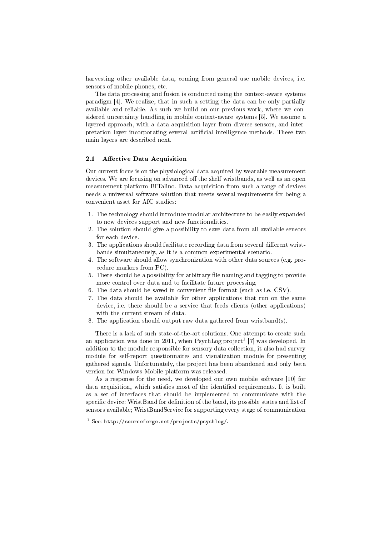harvesting other available data, coming from general use mobile devices, i.e. sensors of mobile phones, etc.

The data processing and fusion is conducted using the context-aware systems paradigm [4]. We realize, that in such a setting the data can be only partially available and reliable. As such we build on our previous work, where we considered uncertainty handling in mobile context-aware systems [5]. We assume a layered approach, with a data acquisition layer from diverse sensors, and interpretation layer incorporating several articial intelligence methods. These two main layers are described next.

### 2.1 Affective Data Acquisition

Our current focus is on the physiological data acquired by wearable measurement devices. We are focusing on advanced off the shelf wristbands, as well as an open measurement platform BITalino. Data acquisition from such a range of devices needs a universal software solution that meets several requirements for being a convenient asset for AfC studies:

- 1. The technology should introduce modular architecture to be easily expanded to new devices support and new functionalities.
- 2. The solution should give a possibility to save data from all available sensors for each device.
- 3. The applications should facilitate recording data from several different wristbands simultaneously, as it is a common experimental scenario.
- 4. The software should allow synchronization with other data sources (e.g. procedure markers from PC).
- 5. There should be a possibility for arbitrary file naming and tagging to provide more control over data and to facilitate future processing.
- 6. The data should be saved in convenient file format (such as i.e.  $\text{CSV}$ ).
- 7. The data should be available for other applications that run on the same device, i.e. there should be a service that feeds clients (other applications) with the current stream of data.
- 8. The application should output raw data gathered from wristband(s).

There is a lack of such state-of-the-art solutions. One attempt to create such an application was done in 2011, when PsychLog project<sup>1</sup> [7] was developed. In addition to the module responsible for sensory data collection, it also had survey module for self-report questionnaires and visualization module for presenting gathered signals. Unfortunately, the project has been abandoned and only beta version for Windows Mobile platform was released.

As a response for the need, we developed our own mobile software [10] for data acquisition, which satisfies most of the identified requirements. It is built as a set of interfaces that should be implemented to communicate with the specific device: WristBand for definition of the band, its possible states and list of sensors available; WristBandService for supporting every stage of communication

 $^{-1}$  See: http://sourceforge.net/projects/psychlog/.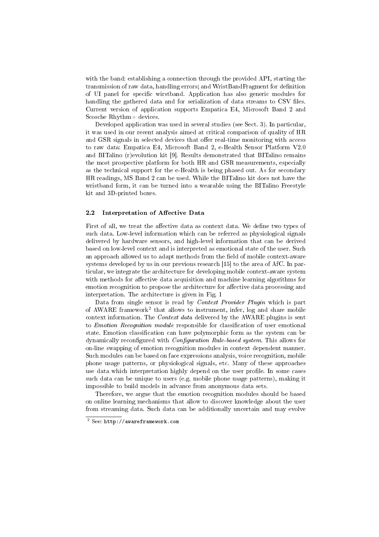with the band: establishing a connection through the provided API, starting the transmission of raw data, handling errors; and WristBandFragment for denition of UI panel for specific wirstband. Application has also generic modules for handling the gathered data and for serialization of data streams to CSV files. Current version of application supports Empatica E4, Microsoft Band 2 and Scosche Rhythm+ devices.

Developed application was used in several studies (see Sect. 3). In particular, it was used in our recent analysis aimed at critical comparison of quality of HR and GSR signals in selected devices that offer real-time monitoring with access to raw data: Empatica E4, Microsoft Band 2, e-Health Sensor Platform V2.0 and BITalino (r)evolution kit [9]. Results demonstrated that BITalino remains the most prospective platform for both HR and GSR measurements, especially as the technical support for the e-Health is being phased out. As for secondary HR readings, MS Band 2 can be used. While the BITalino kit does not have the wristband form, it can be turned into a wearable using the BITalino Freestyle kit and 3D-printed boxes.

#### 2.2 Interpretation of Affective Data

First of all, we treat the affective data as context data. We define two types of such data. Low-level information which can be referred as physiological signals delivered by hardware sensors, and high-level information that can be derived based on low-level context and is interpreted as emotional state of the user. Such an approach allowed us to adapt methods from the field of mobile context-aware systems developed by us in our previous research [15] to the area of AfC. In particular, we integrate the architecture for developing mobile context-aware system with methods for affective data acquisition and machine learning algorithms for emotion recognition to propose the architecture for affective data processing and interpretation. The architecture is given in Fig. 1

Data from single sensor is read by *Context Provider Plugin* which is part of AWARE framework<sup>2</sup> that allows to instrument, infer, log and share mobile context information. The *Context data* delivered by the AWARE plugins is sent to *Emotion Recognition module* responsible for classification of user emotional state. Emotion classification can have polymorphic form as the system can be dynamically reconfigured with *Configuration Rule-based system*. This allows for on-line swapping of emotion recognition modules in context dependent manner. Such modules can be based on face expressions analysis, voice recognition, mobile phone usage patterns, or physiological signals, etc. Many of these approaches use data which interpretation highly depend on the user profile. In some cases such data can be unique to users (e.g. mobile phone usage patterns), making it impossible to build models in advance from anonymous data sets.

Therefore, we argue that the emotion recognition modules should be based on online learning mechanisms that allow to discover knowledge about the user from streaming data. Such data can be additionally uncertain and may evolve

<sup>2</sup> See: http://awareframework.com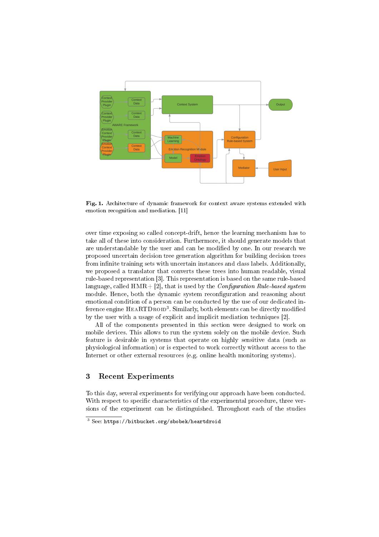

Fig. 1. Architecture of dynamic framework for context aware systems extended with emotion recognition and mediation. [11]

over time exposing so called concept-drift, hence the learning mechanism has to take all of these into consideration. Furthermore, it should generate models that are understandable by the user and can be modified by one. In our research we proposed uncertain decision tree generation algorithm for building decision trees from infinite training sets with uncertain instances and class labels. Additionally, we proposed a translator that converts these trees into human readable, visual rule-based representation [3]. This representation is based on the same rule-based language, called  $HMR + [2]$ , that is used by the *Configuration Rule-based system* module. Hence, both the dynamic system reconfiguration and reasoning about emotional condition of a person can be conducted by the use of our dedicated inference engine  ${\rm HEARTDROID^3}$ . Similarly, both elements can be directly modified by the user with a usage of explicit and implicit mediation techniques [2].

All of the components presented in this section were designed to work on mobile devices. This allows to run the system solely on the mobile device. Such feature is desirable in systems that operate on highly sensitive data (such as physiological information) or is expected to work correctly without access to the Internet or other external resources (e.g. online health monitoring systems).

## 3 Recent Experiments

To this day, several experiments for verifying our approach have been conducted. With respect to specific characteristics of the experimental procedure, three versions of the experiment can be distinguished. Throughout each of the studies

 $3$  See: https://bitbucket.org/sbobek/heartdroid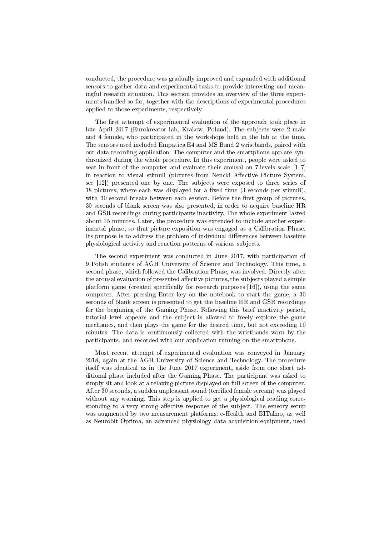conducted, the procedure was gradually improved and expanded with additional sensors to gather data and experimental tasks to provide interesting and meaningful research situation. This section provides an overview of the three experiments handled so far, together with the descriptions of experimental procedures applied to those experiments, respectively.

The first attempt of experimental evaluation of the approach took place in late April 2017 (Eurokreator lab, Krakow, Poland). The subjects were 2 male and 4 female, who participated in the workshops held in the lab at the time. The sensors used included Empatica E4 and MS Band 2 wristbands, paired with our data recording application. The computer and the smartphone app are synchronized during the whole procedure. In this experiment, people were asked to seat in front of the computer and evaluate their arousal on 7-levels scale [1, 7] in reaction to visual stimuli (pictures from Nencki Affective Picture System, see [12]) presented one by one. The subjects were exposed to three series of 18 pictures, where each was displayed for a fixed time  $(3 \text{ seconds per stimuli}),$ with 30 second breaks between each session. Before the first group of pictures, 30 seconds of blank screen was also presented, in order to acquire baseline HR and GSR recordings during participants inactivity. The whole experiment lasted about 15 minutes. Later, the procedure was extended to include another experimental phase, so that picture exposition was engaged as a Calibration Phase. Its purpose is to address the problem of individual differences between baseline physiological activity and reaction patterns of various subjects.

The second experiment was conducted in June 2017, with participation of 9 Polish students of AGH University of Science and Technology. This time, a second phase, which followed the Calibration Phase, was involved. Directly after the arousal evaluation of presented affective pictures, the subjects played a simple platform game (created specifically for research purposes  $[16]$ ), using the same computer. After pressing Enter key on the notebook to start the game, a 30 seconds of blank screen is presented to get the baseline HR and GSR recordings for the beginning of the Gaming Phase. Following this brief inactivity period, tutorial level appears and the subject is allowed to freely explore the game mechanics, and then plays the game for the desired time, but not exceeding 10 minutes. The data is continuously collected with the wristbands worn by the participants, and recorded with our application running on the smartphone.

Most recent attempt of experimental evaluation was conveyed in January 2018, again at the AGH University of Science and Technology. The procedure itself was identical as in the June 2017 experiment, aside from one short additional phase included after the Gaming Phase. The participant was asked to simply sit and look at a relaxing picture displayed on full screen of the computer. After 30 seconds, a sudden unpleasant sound (terrified female scream) was played without any warning. This step is applied to get a physiological reading corresponding to a very strong affective response of the subject. The sensory setup was augmented by two measurement platforms: e-Health and BITalino, as well as Neurobit Optima, an advanced physiology data acquisition equipment, used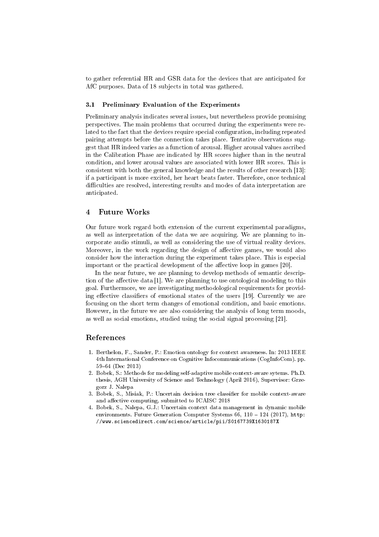to gather referential HR and GSR data for the devices that are anticipated for AfC purposes. Data of 18 subjects in total was gathered.

#### 3.1 Preliminary Evaluation of the Experiments

Preliminary analysis indicates several issues, but nevertheless provide promising perspectives. The main problems that occurred during the experiments were related to the fact that the devices require special configuration, including repeated pairing attempts before the connection takes place. Tentative observations suggest that HR indeed varies as a function of arousal. Higher arousal values ascribed in the Calibration Phase are indicated by HR scores higher than in the neutral condition, and lower arousal values are associated with lower HR scores. This is consistent with both the general knowledge and the results of other research [13]: if a participant is more excited, her heart beats faster. Therefore, once technical difficulties are resolved, interesting results and modes of data interpretation are anticipated.

## 4 Future Works

Our future work regard both extension of the current experimental paradigms, as well as interpretation of the data we are acquiring. We are planning to incorporate audio stimuli, as well as considering the use of virtual reality devices. Moreover, in the work regarding the design of affective games, we would also consider how the interaction during the experiment takes place. This is especial important or the practical development of the affective loop in games [20].

In the near future, we are planning to develop methods of semantic description of the affective data [1]. We are planning to use ontological modeling to this goal. Furthermore, we are investigating methodological requirements for providing effective classifiers of emotional states of the users [19]. Currently we are focusing on the short term changes of emotional condition, and basic emotions. However, in the future we are also considering the analysis of long term moods, as well as social emotions, studied using the social signal processing [21].

## References

- 1. Berthelon, F., Sander, P.: Emotion ontology for context awareness. In: 2013 IEEE 4th International Conference on Cognitive Infocommunications (CogInfoCom). pp. 5964 (Dec 2013)
- 2. Bobek, S.: Methods for modeling self-adaptive mobile context-aware sytems. Ph.D. thesis, AGH University of Science and Technology (April 2016), Supervisor: Grzegorz J. Nalepa
- 3. Bobek, S., Misiak, P.: Uncertain decision tree classifier for mobile context-aware and affective computing, submitted to ICAISC 2018
- 4. Bobek, S., Nalepa, G.J.: Uncertain context data management in dynamic mobile environments. Future Generation Computer Systems 66, 110 - 124 (2017), http: //www.sciencedirect.com/science/article/pii/S0167739X1630187X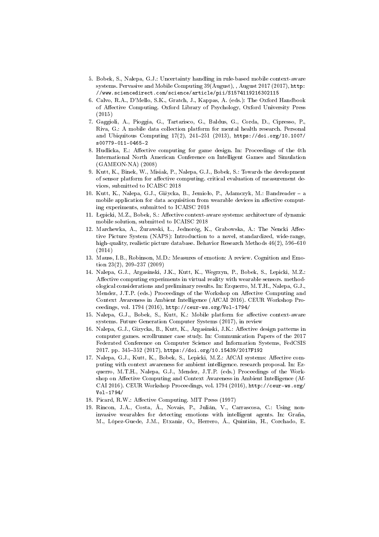- 5. Bobek, S., Nalepa, G.J.: Uncertainty handling in rule-based mobile context-aware systems. Pervasive and Mobile Computing 39(August), , August 2017 (2017), http: //www.sciencedirect.com/science/article/pii/S1574119216302115
- 6. Calvo, R.A., D'Mello, S.K., Gratch, J., Kappas, A. (eds.): The Oxford Handbook of Affective Computing. Oxford Library of Psychology, Oxford University Press (2015)
- 7. Gaggioli, A., Pioggia, G., Tartarisco, G., Baldus, G., Corda, D., Cipresso, P., Riva, G.: A mobile data collection platform for mental health research. Personal and Ubiquitous Computing 17(2), 241-251 (2013), https://doi.org/10.1007/ s00779-011-0465-2
- 8. Hudlicka, E.: Affective computing for game design. In: Proceedings of the 4th International North American Conference on Intelligent Games and Simulation (GAMEON-NA) (2008)
- 9. Kutt, K., Binek, W., Misiak, P., Nalepa, G.J., Bobek, S.: Towards the development of sensor platform for affective computing. critical evaluation of measurement devices, submitted to ICAISC 2018
- 10. Kutt, K., Nalepa, G.J., Giżycka, B., Jemioło, P., Adamczyk, M.: Bandreader a mobile application for data acquisition from wearable devices in affective computing experiments, submitted to ICAISC 2018
- 11. Łepicki, M.Z., Bobek, S.: Affective context-aware systems: architecture of dynamic mobile solution, submitted to ICAISC 2018
- 12. Marchewka, A., Żurawski, Ł., Jednoróg, K., Grabowska, A.: The Nencki Affective Picture System (NAPS): Introduction to a novel, standardized, wide-range, high-quality, realistic picture database. Behavior Research Methods  $46(2)$ , 596–610  $(2014)$
- 13. Mauss, I.B., Robinson, M.D.: Measures of emotion: A review. Cognition and Emotion  $23(2)$ ,  $209-237(2009)$
- 14. Nalepa, G.J., Argasinski, J.K., Kutt, K., Wegrzyn, P., Bobek, S., Lepicki, M.Z.: Affective computing experiments in virtual reality with wearable sensors, methodological considerations and preliminary results. In: Ezquerro, M.T.H., Nalepa, G.J., Mendez, J.T.P. (eds.) Proceedings of the Workshop on Affective Computing and Context Awareness in Ambient Intelligence (AfCAI 2016). CEUR Workshop Proceedings, vol. 1794 (2016), http://ceur-ws.org/Vol-1794/
- 15. Nalepa, G.J., Bobek, S., Kutt, K.: Mobile platform for affective context-aware systems. Future Generation Computer Systems (2017), in review
- 16. Nalepa, G.J., Gizycka, B., Kutt, K., Argasinski, J.K.: Affective design patterns in computer games. scrollrunner case study. In: Communication Papers of the 2017 Federated Conference on Computer Science and Information Systems, FedCSIS 2017. pp. 345-352 (2017), https://doi.org/10.15439/2017F192
- 17. Nalepa, G.J., Kutt, K., Bobek, S., Lepicki, M.Z.: AfCAI systems: Affective computing with context awareness for ambient intelligence. research proposal. In: Ezquerro, M.T.H., Nalepa, G.J., Mendez, J.T.P. (eds.) Proceedings of the Workshop on Affective Computing and Context Awareness in Ambient Intelligence (Af-CAI 2016). CEUR Workshop Proceedings, vol. 1794 (2016), http://ceur-ws.org/ Vol-1794/
- 18. Picard, R.W.: Affective Computing. MIT Press (1997)
- 19. Rincon, J.A., Costa, Â., Novais, P., Julián, V., Carrascosa, C.: Using noninvasive wearables for detecting emotions with intelligent agents. In: Graña, M., López-Guede, J.M., Etxaniz, O., Herrero, Á., Quintián, H., Corchado, E.